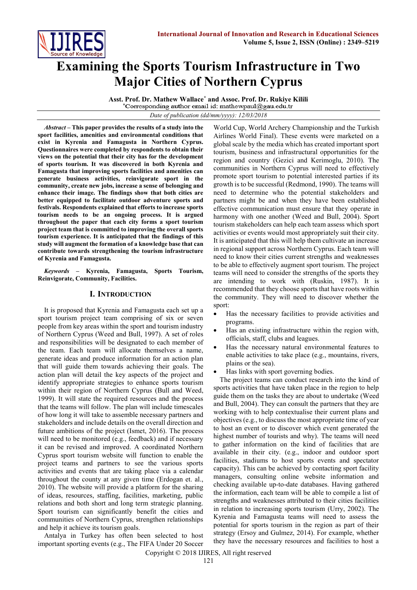

# **Examining the Sports Tourism Infrastructure in Two Major Cities of Northern Cyprus**

**Asst. Prof. Dr. Mathew Wallace\* and Assoc. Prof. Dr. Rukiye Kilili**

*Date of publication (dd/mm/yyyy): 12/03/2018*

*Abstract –* **This paper provides the results of a study into the sport facilities, amenities and environmental conditions that exist in Kyrenia and Famagusta in Northern Cyprus. Questionnaires were completed by respondents to obtain their views on the potential that their city has for the development of sports tourism. It was discovered in both Kyrenia and Famagusta that improving sports facilities and amenities can generate business activities, reinvigorate sport in the community, create new jobs, increase a sense of belonging and enhance their image. The findings show that both cities are better equipped to facilitate outdoor adventure sports and festivals. Respondents explained that efforts to increase sports tourism needs to be an ongoing process. It is argued throughout the paper that each city forms a sport tourism project team that is committed to improving the overall sports tourism experience. It is anticipated that the findings of this study will augment the formation of a knowledge base that can contribute towards strengthening the tourism infrastructure of Kyrenia and Famagusta.** 

*Keywords –* **Kyrenia, Famagusta, Sports Tourism, Reinvigorate, Community, Facilities.**

## **I. INTRODUCTION**

It is proposed that Kyrenia and Famagusta each set up a sport tourism project team comprising of six or seven people from key areas within the sport and tourism industry of Northern Cyprus (Weed and Bull, 1997). A set of roles and responsibilities will be designated to each member of the team. Each team will allocate themselves a name, generate ideas and produce information for an action plan that will guide them towards achieving their goals. The action plan will detail the key aspects of the project and identify appropriate strategies to enhance sports tourism within their region of Northern Cyprus (Bull and Weed, 1999). It will state the required resources and the process that the teams will follow. The plan will include timescales of how long it will take to assemble necessary partners and stakeholders and include details on the overall direction and future ambitions of the project (Ismet, 2016). The process will need to be monitored (e.g., feedback) and if necessary it can be revised and improved. A coordinated Northern Cyprus sport tourism website will function to enable the project teams and partners to see the various sports activities and events that are taking place via a calendar throughout the county at any given time (Erdogan et. al., 2010). The website will provide a platform for the sharing of ideas, resources, staffing, facilities, marketing, public relations and both short and long term strategic planning. Sport tourism can significantly benefit the cities and communities of Northern Cyprus, strengthen relationships and help it achieve its tourism goals.

Antalya in Turkey has often been selected to host important sporting events (e.g., The FIFA Under 20 Soccer

World Cup, World Archery Championship and the Turkish Airlines World Final). These events were marketed on a global scale by the media which has created important sport tourism, business and infrastructural opportunities for the region and country (Gezici and Kerimoglu, 2010). The communities in Northern Cyprus will need to effectively promote sport tourism to potential interested parties if its growth is to be successful (Redmond, 1990). The teams will need to determine who the potential stakeholders and partners might be and when they have been established effective communication must ensure that they operate in harmony with one another (Weed and Bull, 2004). Sport tourism stakeholders can help each team assess which sport activities or events would most appropriately suit their city. It is anticipated that this will help them cultivate an increase in regional support across Northern Cyprus. Each team will need to know their cities current strengths and weaknesses to be able to effectively augment sport tourism. The project teams will need to consider the strengths of the sports they are intending to work with (Ruskin, 1987). It is recommended that they choose sports that have roots within the community. They will need to discover whether the sport:

- Has the necessary facilities to provide activities and programs.
- Has an existing infrastructure within the region with, officials, staff, clubs and leagues.
- Has the necessary natural environmental features to enable activities to take place (e.g., mountains, rivers, plains or the sea).
- Has links with sport governing bodies.

The project teams can conduct research into the kind of sports activities that have taken place in the region to help guide them on the tasks they are about to undertake (Weed and Bull, 2004). They can consult the partners that they are working with to help contextualise their current plans and objectives (e.g., to discuss the most appropriate time of year to host an event or to discover which event generated the highest number of tourists and why). The teams will need to gather information on the kind of facilities that are available in their city. (e.g., indoor and outdoor sport facilities, stadiums to host sports events and spectator capacity). This can be achieved by contacting sport facility managers, consulting online website information and checking available up-to-date databases. Having gathered the information, each team will be able to compile a list of strengths and weaknesses attributed to their cities facilities in relation to increasing sports tourism (Urry, 2002). The Kyrenia and Famagusta teams will need to assess the potential for sports tourism in the region as part of their strategy (Ersoy and Gulmez, 2014). For example, whether they have the necessary resources and facilities to host a

Copyright © 2018 IJIRES, All right reserved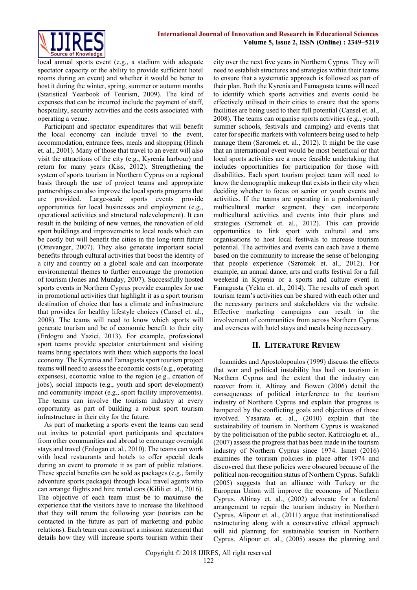

local annual sports event (e.g., a stadium with adequate spectator capacity or the ability to provide sufficient hotel rooms during an event) and whether it would be better to host it during the winter, spring, summer or autumn months (Statistical Yearbook of Tourism, 2009). The kind of expenses that can be incurred include the payment of staff, hospitality, security activities and the costs associated with operating a venue.

Participant and spectator expenditures that will benefit the local economy can include travel to the event, accommodation, entrance fees, meals and shopping (Hinch et. al., 2001). Many of those that travel to an event will also visit the attractions of the city (e.g., Kyrenia harbour) and return for many years (Kiss, 2012). Strengthening the system of sports tourism in Northern Cyprus on a regional basis through the use of project teams and appropriate partnerships can also improve the local sports programs that are provided. Large-scale sports events provide opportunities for local businesses and employment (e.g., operational activities and structural redevelopment). It can result in the building of new venues, the renovation of old sport buildings and improvements to local roads which can be costly but will benefit the cities in the long-term future (Ottevanger, 2007). They also generate important social benefits through cultural activities that boost the identity of a city and country on a global scale and can incorporate environmental themes to further encourage the promotion of tourism (Jones and Munday, 2007). Successfully hosted sports events in Northern Cyprus provide examples for use in promotional activities that highlight it as a sport tourism destination of choice that has a climate and infrastructure that provides for healthy lifestyle choices (Cansel et. al., 2008). The teams will need to know which sports will generate tourism and be of economic benefit to their city (Erdogru and Yazici, 2013). For example, professional sport teams provide spectator entertainment and visiting teams bring spectators with them which supports the local economy. The Kyrenia and Famagusta sport tourism project teams will need to assess the economic costs (e.g., operating expenses), economic value to the region (e.g., creation of jobs), social impacts (e.g., youth and sport development) and community impact (e.g., sport facility improvements). The teams can involve the tourism industry at every opportunity as part of building a robust sport tourism infrastructure in their city for the future.

As part of marketing a sports event the teams can send out invites to potential sport participants and spectators from other communities and abroad to encourage overnight stays and travel (Erdogan et. al., 2010). The teams can work with local restaurants and hotels to offer special deals during an event to promote it as part of public relations. These special benefits can be sold as packages (e.g., family adventure sports package) through local travel agents who can arrange flights and hire rental cars (Kilili et. al., 2016). The objective of each team must be to maximise the experience that the visitors have to increase the likelihood that they will return the following year (tourists can be contacted in the future as part of marketing and public relations). Each team can construct a mission statement that details how they will increase sports tourism within their city over the next five years in Northern Cyprus. They will need to establish structures and strategies within their teams to ensure that a systematic approach is followed as part of their plan. Both the Kyrenia and Famagusta teams will need to identify which sports activities and events could be effectively utilised in their cities to ensure that the sports facilities are being used to their full potential (Cansel et. al., 2008). The teams can organise sports activities (e.g., youth summer schools, festivals and camping) and events that cater for specific markets with volunteers being used to help manage them (Szromek et. al., 2012). It might be the case that an international event would be most beneficial or that local sports activities are a more feasible undertaking that includes opportunities for participation for those with disabilities. Each sport tourism project team will need to know the demographic makeup that exists in their city when deciding whether to focus on senior or youth events and activities. If the teams are operating in a predominantly multicultural market segment, they can incorporate multicultural activities and events into their plans and strategies (Szromek et. al., 2012). This can provide opportunities to link sport with cultural and arts organisations to host local festivals to increase tourism potential. The activities and events can each have a theme based on the community to increase the sense of belonging that people experience (Szromek et. al., 2012). For example, an annual dance, arts and crafts festival for a full weekend in Kyrenia or a sports and culture event in Famagusta (Yekta et. al., 2014). The results of each sport tourism team's activities can be shared with each other and the necessary partners and stakeholders via the website. Effective marketing campaigns can result in the involvement of communities from across Northern Cyprus and overseas with hotel stays and meals being necessary.

## **II. LITERATURE REVIEW**

Ioannides and Apostolopoulos (1999) discuss the effects that war and political instability has had on tourism in Northern Cyprus and the extent that the industry can recover from it. Altinay and Bowen (2006) detail the consequences of political interference to the tourism industry of Northern Cyprus and explain that progress is hampered by the conflicting goals and objectives of those involved. Yasarata et. al., (2010) explain that the sustainability of tourism in Northern Cyprus is weakened by the politicisation of the public sector. Katircioglu et. al., (2007) assess the progress that has been made in the tourism industry of Northern Cyprus since 1974. Ismet (2016) examines the tourism policies in place after 1974 and discovered that these policies were obscured because of the political non-recognition status of Northern Cyprus. Safakli (2005) suggests that an alliance with Turkey or the European Union will improve the economy of Northern Cyprus. Altinay et. al., (2002) advocate for a federal arrangement to repair the tourism industry in Northern Cyprus. Alipour et. al., (2011) argue that institutionalised restructuring along with a conservative ethical approach will aid planning for sustainable tourism in Northern Cyprus. Alipour et. al., (2005) assess the planning and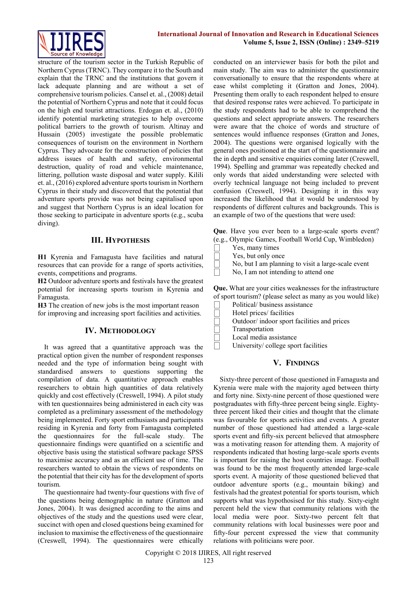

structure of the tourism sector in the Turkish Republic of Northern Cyprus (TRNC). They compare it to the South and explain that the TRNC and the institutions that govern it lack adequate planning and are without a set of comprehensive tourism policies. Cansel et. al., (2008) detail the potential of Northern Cyprus and note that it could focus on the high end tourist attractions. Erdogan et. al., (2010) identify potential marketing strategies to help overcome political barriers to the growth of tourism. Altinay and Hussain (2005) investigate the possible problematic consequences of tourism on the environment in Northern Cyprus. They advocate for the construction of policies that address issues of health and safety, environmental destruction, quality of road and vehicle maintenance, littering, pollution waste disposal and water supply. Kilili et. al., (2016) explored adventure sports tourism in Northern Cyprus in their study and discovered that the potential that adventure sports provide was not being capitalised upon and suggest that Northern Cyprus is an ideal location for those seeking to participate in adventure sports (e.g., scuba diving).

# **III. HYPOTHESIS**

**H1** Kyrenia and Famagusta have facilities and natural resources that can provide for a range of sports activities, events, competitions and programs.

**H2** Outdoor adventure sports and festivals have the greatest potential for increasing sports tourism in Kyrenia and Famagusta.

**H3** The creation of new jobs is the most important reason for improving and increasing sport facilities and activities.

# **IV. METHODOLOGY**

It was agreed that a quantitative approach was the practical option given the number of respondent responses needed and the type of information being sought with standardised answers to questions supporting the compilation of data. A quantitative approach enables researchers to obtain high quantities of data relatively quickly and cost effectively (Creswell, 1994). A pilot study with ten questionnaires being administered in each city was completed as a preliminary assessment of the methodology being implemented. Forty sport enthusiasts and participants residing in Kyrenia and forty from Famagusta completed the questionnaires for the full-scale study. The questionnaire findings were quantified on a scientific and objective basis using the statistical software package SPSS to maximise accuracy and as an efficient use of time. The researchers wanted to obtain the views of respondents on the potential that their city has for the development of sports tourism.

The questionnaire had twenty-four questions with five of the questions being demographic in nature (Gratton and Jones, 2004). It was designed according to the aims and objectives of the study and the questions used were clear, succinct with open and closed questions being examined for inclusion to maximise the effectiveness of the questionnaire (Creswell, 1994). The questionnaires were ethically

conducted on an interviewer basis for both the pilot and main study. The aim was to administer the questionnaire conversationally to ensure that the respondents where at ease whilst completing it (Gratton and Jones, 2004). Presenting them orally to each respondent helped to ensure that desired response rates were achieved. To participate in the study respondents had to be able to comprehend the questions and select appropriate answers. The researchers were aware that the choice of words and structure of sentences would influence responses (Gratton and Jones, 2004). The questions were organised logically with the general ones positioned at the start of the questionnaire and the in depth and sensitive enquiries coming later (Creswell, 1994). Spelling and grammar was repeatedly checked and only words that aided understanding were selected with overly technical language not being included to prevent confusion (Creswell, 1994). Designing it in this way increased the likelihood that it would be understood by respondents of different cultures and backgrounds. This is an example of two of the questions that were used:

**Que**. Have you ever been to a large-scale sports event? (e.g., Olympic Games, Football World Cup, Wimbledon)

| $(0.5)$ $-2.5$ $-1.5$ $-0.5$ $-0.5$ |
|-------------------------------------|
| Yes, many times                     |
| Yes, but only once                  |

 $\Box$  No, but I am planning to visit a large-scale event

No, I am not intending to attend one

**Que.** What are your cities weaknesses for the infrastructure of sport tourism? (please select as many as you would like)

| Political/business assistance              |
|--------------------------------------------|
| Hotel prices/ facilities                   |
| Outdoor/indoor sport facilities and prices |
| Transportation                             |
| Local media assistance                     |
| University/college sport facilities        |

## **V. FINDINGS**

Sixty-three percent of those questioned in Famagusta and Kyrenia were male with the majority aged between thirty and forty nine. Sixty-nine percent of those questioned were postgraduates with fifty-three percent being single. Eightythree percent liked their cities and thought that the climate was favourable for sports activities and events. A greater number of those questioned had attended a large-scale sports event and fifty-six percent believed that atmosphere was a motivating reason for attending them. A majority of respondents indicated that hosting large-scale sports events is important for raising the host countries image. Football was found to be the most frequently attended large-scale sports event. A majority of those questioned believed that outdoor adventure sports (e.g., mountain biking) and festivals had the greatest potential for sports tourism, which supports what was hypothosised for this study. Sixty-eight percent held the view that community relations with the local media were poor. Sixty-two percent felt that community relations with local businesses were poor and fifty-four percent expressed the view that community relations with politicians were poor.

Copyright © 2018 IJIRES, All right reserved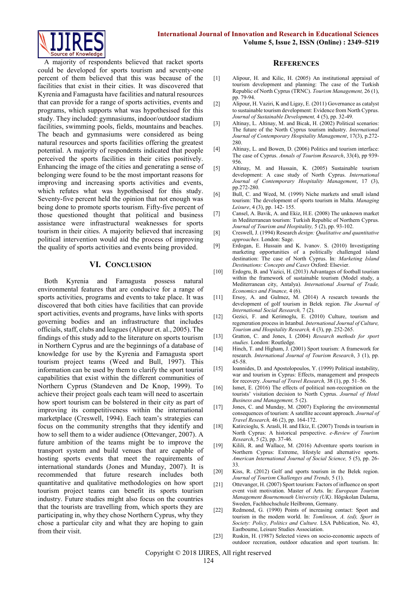

A majority of respondents believed that racket sports could be developed for sports tourism and seventy-one percent of them believed that this was because of the facilities that exist in their cities. It was discovered that Kyrenia and Famagusta have facilities and natural resources that can provide for a range of sports activities, events and programs, which supports what was hypothesised for this study. They included: gymnasiums, indoor/outdoor stadium facilities, swimming pools, fields, mountains and beaches. The beach and gymnasiums were considered as being natural resources and sports facilities offering the greatest potential. A majority of respondents indicated that people perceived the sports facilities in their cities positively. Enhancing the image of the cities and generating a sense of belonging were found to be the most important reasons for improving and increasing sports activities and events, which refutes what was hypothesised for this study. Seventy-five percent held the opinion that not enough was being done to promote sports tourism. Fifty-five percent of those questioned thought that political and business assistance were infrastructural weaknesses for sports tourism in their cities. A majority believed that increasing political intervention would aid the process of improving the quality of sports activities and events being provided.

### **VI. CONCLUSION**

Both Kyrenia and Famagusta possess natural environmental features that are conducive for a range of sports activities, programs and events to take place. It was discovered that both cities have facilities that can provide sport activities, events and programs, have links with sports governing bodies and an infrastructure that includes officials, staff, clubs and leagues (Alipour et. al., 2005). The findings of this study add to the literature on sports tourism in Northern Cyprus and are the beginnings of a database of knowledge for use by the Kyrenia and Famagusta sport tourism project teams (Weed and Bull, 1997). This information can be used by them to clarify the sport tourist capabilities that exist within the different communities of Northern Cyprus (Standeven and De Knop, 1999). To achieve their project goals each team will need to ascertain how sport tourism can be bolstered in their city as part of improving its competitiveness within the international marketplace (Creswell, 1994). Each team's strategies can focus on the community strengths that they identify and how to sell them to a wider audience (Ottevanger, 2007). A future ambition of the teams might be to improve the transport system and build venues that are capable of hosting sports events that meet the requirements of international standards (Jones and Munday, 2007). It is recommended that future research includes both quantitative and qualitative methodologies on how sport tourism project teams can benefit its sports tourism industry. Future studies might also focus on the countries that the tourists are travelling from, which sports they are participating in, why they chose Northern Cyprus, why they chose a particular city and what they are hoping to gain from their visit.

#### **REFERENCES**

- [1] Alipour, H. and Kilic, H. (2005) An institutional appraisal of tourism development and planning: The case of the Turkish Republic of North Cyprus (TRNC). *Tourism Management,* 26 (1), pp. 79-94.
- [2] Alipour, H. Vaziri, K and Ligay, E. (2011) Governance as catalyst to sustainable tourism development: Evidence from North Cyprus. *Journal of Sustainable Development,* 4 (5), pp. 32-49.
- [3] Altinay, L. Altinay, M. and Bicak, H. (2002) Political scenarios: The future of the North Cyprus tourism industry. *International Journal of Contemporary Hospitality Management*, 17(3), p.272- 280.
- [4] Altinay, L. and Bowen, D. (2006) Politics and tourism interface: The case of Cyprus. *Annals of Tourism Research*, 33(4), pp 939- 956.
- [5] Altinay, M. and Hussain, K. (2005) Sustainable tourism development: A case study of North Cyprus. *International Journal of Contemporary Hospitality Management*, 17 (3), pp.272-280.
- [6] Bull, C. and Weed, M. (1999) Niche markets and small island tourism: The development of sports tourism in Malta. *Managing Leisure*, 4 (3), pp. 142- 155.
- [7] Cansel, A. Bavik, A. and Ekiz, H.E. (2008) The unknown market in Mediterranean tourism: Turkish Republic of Northern Cyprus. *Journal of Tourism and Hospitality,* 5 (2), pp. 93-102.
- [8] Creswell, J. (1994) Research *design: Qualitative and quantitative approaches.* London: Sage.
- [9] Erdogan, E. Hussain and K. Ivanov. S. (2010) Investigating marketing opportunities of a politically challenged island destination: The case of North Cyprus. In: *Marketing Island Destinations: Concepts and Cases* Oxford: Elsevier.
- [10] Erdogru, B. and Yazici, H. (2013) Advantages of football tourism within the framework of sustainable tourism (Model study, a Mediterranean city, Antalya). *International Journal of Trade, Economics and Finance,* 4 (6).
- [11] Ersoy, A. and Gulmez, M. (2014) A research towards the development of golf tourism in Belek region. *The Journal of International Social Research,* 7 (2).
- [12] Gezici, F. and Kerimoglu, E. (2010) Culture, tourism and regeneration process in Istanbul. *International Journal of Culture, Tourism and Hospitality Research,* 4 (3), pp. 252-265.
- [13] Gratton, C. and Jones, I. (2004) *Research methods for sport studies.* London: Routledge.
- [14] Hinch, T. and Higham, J. (2001) Sport tourism: A framework for research. *International Journal of Tourism Research*, 3 (1), pp. 45-58.
- [15] Ioannides, D. and Apostolopoulos, Y. (1999) Political instability, war and tourism in Cyprus: Effects, management and prospects for recovery. *Journal of Travel Research,* 38 (1), pp. 51–56.
- [16] Ismet, E. (2016) The effects of political non-recognition on the tourists' visitation decision to North Cyprus. *Journal of Hotel Business and Management,* 5 (2).
- [17] Jones, C. and Munday, M. (2007) Exploring the environmental consequences of tourism: A satellite account approach. *Journal of Travel Research,* 46 (2), pp. 164-172.
- [18] Katircioglu, S. Arasli, H. and Ekiz, E. (2007) Trends in tourism in North Cyprus: A historical perspective. *e-Review of Tourism Research*, 5 (2), pp. 37-46.
- [19] Kilili, R. and Wallace, M. (2016) Adventure sports tourism in Northern Cyprus: Extreme, lifestyle and alternative sports. *American International Journal of Social Science,* 5 (5), pp. 26- 33.
- [20] Kiss, R. (2012) Golf and sports tourism in the Belek region. *Journal of Tourism Challenges and Trends,* 5 (1).
- [21] Ottevanger, H. (2007) Sport tourism: Factors of influence on sport event visit motivation. Master of Arts. In: *European Tourism Management Bournemouth University (UK)*. Högskolan Dalarna, Sweden, Fachhochschule Heilbronn, Germany.
- [22] Redmond, G. (1990) Points of increasing contact: Sport and tourism in the modem world. In: *Tomlinson, A. (ed), Sport in Society: Policy, Politics and Culture.* LSA Publication, No. 43, Eastboume, Leisure Studies Association.
- [23] Ruskin, H. (1987) Selected views on socio-economic aspects of outdoor recreation, outdoor education and sport tourism. In: